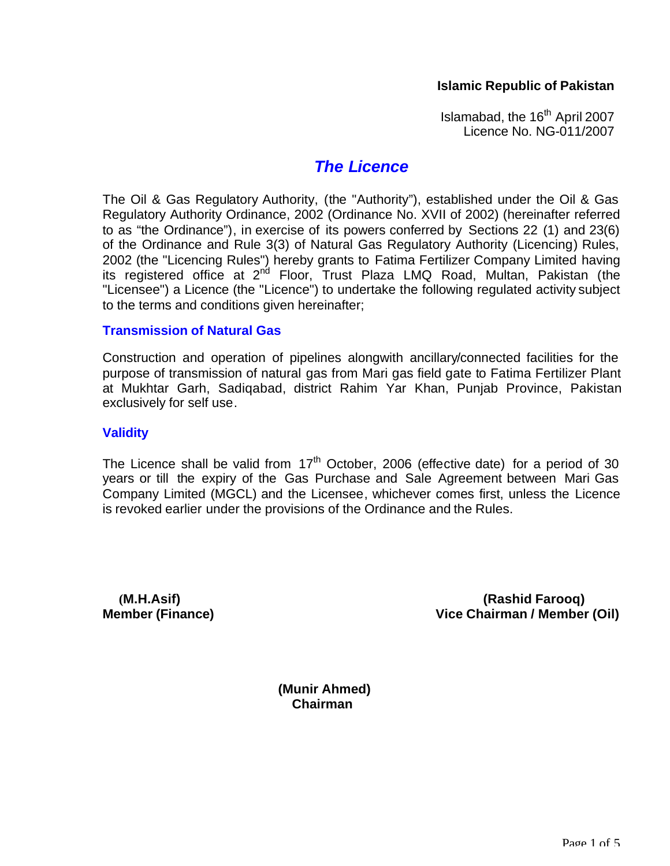#### **Islamic Republic of Pakistan**

Islamabad, the  $16<sup>th</sup>$  April 2007 Licence No. NG-011/2007

#### *The Licence*

The Oil & Gas Regulatory Authority, (the "Authority"), established under the Oil & Gas Regulatory Authority Ordinance, 2002 (Ordinance No. XVII of 2002) (hereinafter referred to as "the Ordinance"), in exercise of its powers conferred by Sections 22 (1) and 23(6) of the Ordinance and Rule 3(3) of Natural Gas Regulatory Authority (Licencing) Rules, 2002 (the "Licencing Rules") hereby grants to Fatima Fertilizer Company Limited having its registered office at 2<sup>nd</sup> Floor, Trust Plaza LMQ Road, Multan, Pakistan (the "Licensee") a Licence (the "Licence") to undertake the following regulated activity subject to the terms and conditions given hereinafter;

#### **Transmission of Natural Gas**

Construction and operation of pipelines alongwith ancillary/connected facilities for the purpose of transmission of natural gas from Mari gas field gate to Fatima Fertilizer Plant at Mukhtar Garh, Sadiqabad, district Rahim Yar Khan, Punjab Province, Pakistan exclusively for self use.

#### **Validity**

The Licence shall be valid from  $17<sup>th</sup>$  October, 2006 (effective date) for a period of 30 years or till the expiry of the Gas Purchase and Sale Agreement between Mari Gas Company Limited (MGCL) and the Licensee, whichever comes first, unless the Licence is revoked earlier under the provisions of the Ordinance and the Rules.

 **(M.H.Asif) (Rashid Farooq) Member (Finance) Vice Chairman / Member (Oil)**

> **(Munir Ahmed) Chairman**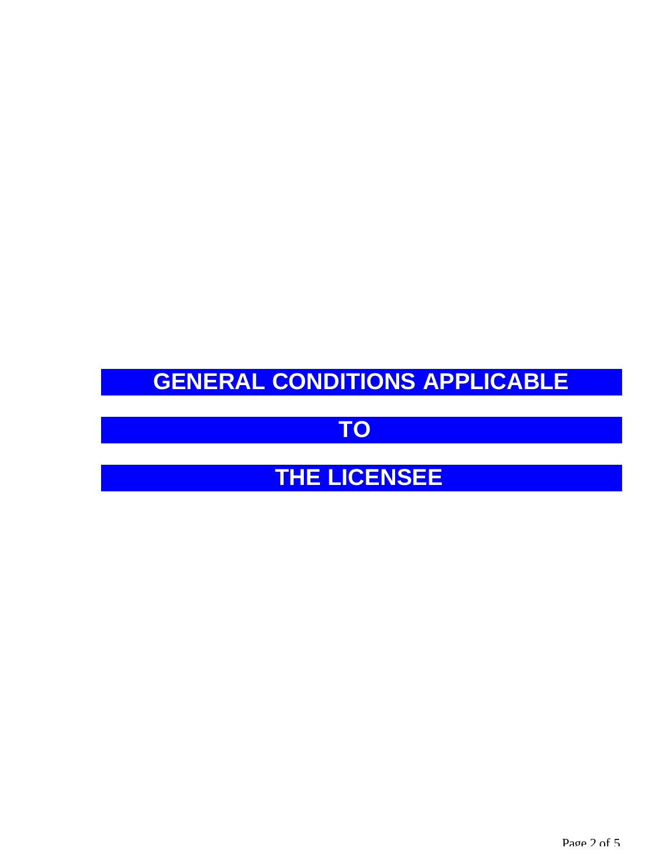# **GENERAL CONDITIONS APPLICABLE**

### **TO**

## **THE LICENSEE**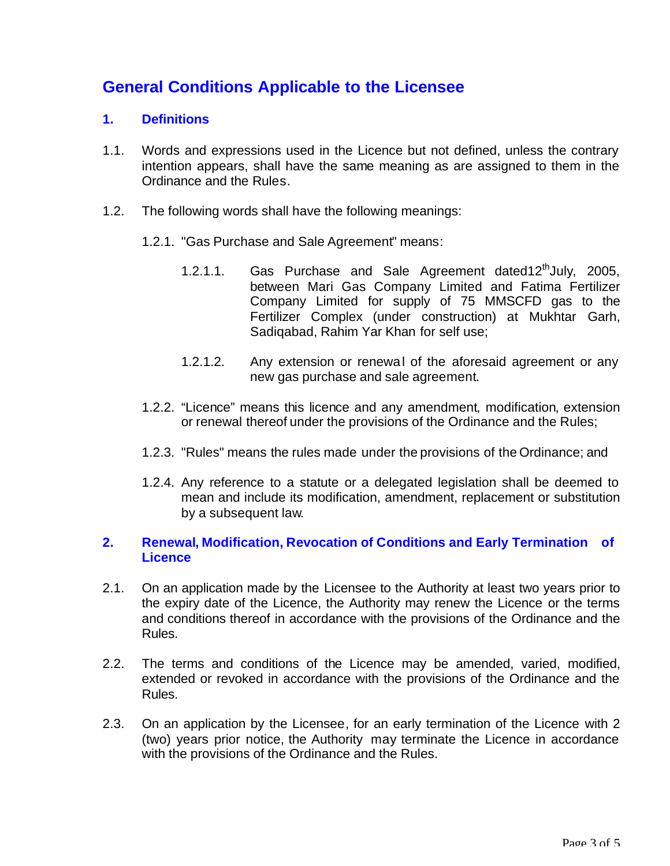### **General Conditions Applicable to the Licensee**

#### **1. Definitions**

- 1.1. Words and expressions used in the Licence but not defined, unless the contrary intention appears, shall have the same meaning as are assigned to them in the Ordinance and the Rules.
- 1.2. The following words shall have the following meanings:
	- 1.2.1. "Gas Purchase and Sale Agreement" means:
		- 1.2.1.1. Gas Purchase and Sale Agreement dated12<sup>th</sup>July, 2005, between Mari Gas Company Limited and Fatima Fertilizer Company Limited for supply of 75 MMSCFD gas to the Fertilizer Complex (under construction) at Mukhtar Garh, Sadiqabad, Rahim Yar Khan for self use;
		- 1.2.1.2. Any extension or renewal of the aforesaid agreement or any new gas purchase and sale agreement.
	- 1.2.2. "Licence" means this licence and any amendment, modification, extension or renewal thereof under the provisions of the Ordinance and the Rules;
	- 1.2.3. "Rules" means the rules made under the provisions of the Ordinance; and
	- 1.2.4. Any reference to a statute or a delegated legislation shall be deemed to mean and include its modification, amendment, replacement or substitution by a subsequent law.

#### **2. Renewal, Modification, Revocation of Conditions and Early Termination of Licence**

- 2.1. On an application made by the Licensee to the Authority at least two years prior to the expiry date of the Licence, the Authority may renew the Licence or the terms and conditions thereof in accordance with the provisions of the Ordinance and the Rules.
- 2.2. The terms and conditions of the Licence may be amended, varied, modified, extended or revoked in accordance with the provisions of the Ordinance and the Rules.
- 2.3. On an application by the Licensee, for an early termination of the Licence with 2 (two) years prior notice, the Authority may terminate the Licence in accordance with the provisions of the Ordinance and the Rules.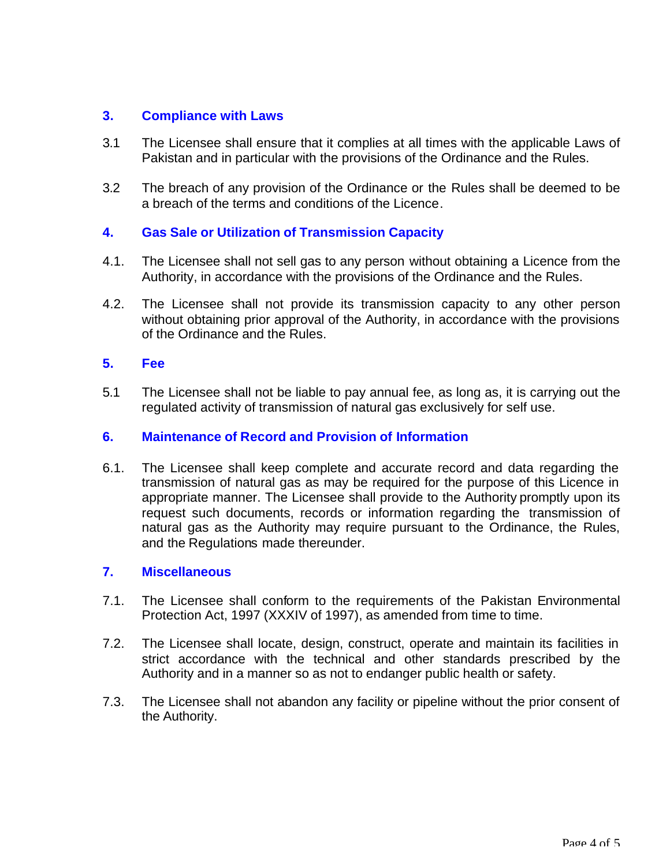#### **3. Compliance with Laws**

- 3.1 The Licensee shall ensure that it complies at all times with the applicable Laws of Pakistan and in particular with the provisions of the Ordinance and the Rules.
- 3.2 The breach of any provision of the Ordinance or the Rules shall be deemed to be a breach of the terms and conditions of the Licence.

#### **4. Gas Sale or Utilization of Transmission Capacity**

- 4.1. The Licensee shall not sell gas to any person without obtaining a Licence from the Authority, in accordance with the provisions of the Ordinance and the Rules.
- 4.2. The Licensee shall not provide its transmission capacity to any other person without obtaining prior approval of the Authority, in accordance with the provisions of the Ordinance and the Rules.

#### **5. Fee**

5.1 The Licensee shall not be liable to pay annual fee, as long as, it is carrying out the regulated activity of transmission of natural gas exclusively for self use.

#### **6. Maintenance of Record and Provision of Information**

6.1. The Licensee shall keep complete and accurate record and data regarding the transmission of natural gas as may be required for the purpose of this Licence in appropriate manner. The Licensee shall provide to the Authority promptly upon its request such documents, records or information regarding the transmission of natural gas as the Authority may require pursuant to the Ordinance, the Rules, and the Regulations made thereunder.

#### **7. Miscellaneous**

- 7.1. The Licensee shall conform to the requirements of the Pakistan Environmental Protection Act, 1997 (XXXIV of 1997), as amended from time to time.
- 7.2. The Licensee shall locate, design, construct, operate and maintain its facilities in strict accordance with the technical and other standards prescribed by the Authority and in a manner so as not to endanger public health or safety.
- 7.3. The Licensee shall not abandon any facility or pipeline without the prior consent of the Authority.